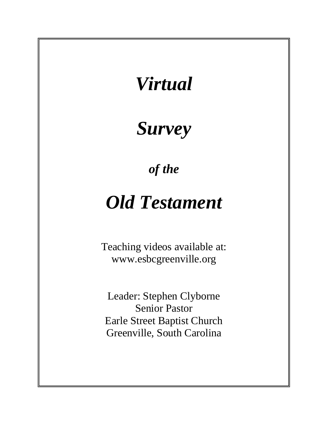# *Virtual*

# *Survey*

*of the*

# *Old Testament*

Teaching videos available at: www.esbcgreenville.org

Leader: Stephen Clyborne Senior Pastor Earle Street Baptist Church Greenville, South Carolina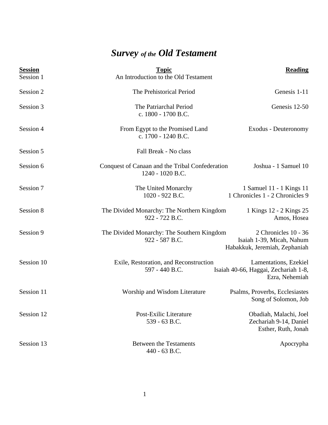## *Survey of the Old Testament*

| <b>Session</b><br>Session 1 | <b>Topic</b><br>An Introduction to the Old Testament                | <b>Reading</b>                                                                     |
|-----------------------------|---------------------------------------------------------------------|------------------------------------------------------------------------------------|
| Session 2                   | The Prehistorical Period                                            | Genesis 1-11                                                                       |
| Session 3                   | The Patriarchal Period<br>c. 1800 - 1700 B.C.                       | Genesis 12-50                                                                      |
| Session 4                   | From Egypt to the Promised Land<br>c. 1700 - 1240 B.C.              | Exodus - Deuteronomy                                                               |
| Session 5                   | Fall Break - No class                                               |                                                                                    |
| Session 6                   | Conquest of Canaan and the Tribal Confederation<br>1240 - 1020 B.C. | Joshua - 1 Samuel 10                                                               |
| Session 7                   | The United Monarchy<br>1020 - 922 B.C.                              | 1 Samuel 11 - 1 Kings 11<br>1 Chronicles 1 - 2 Chronicles 9                        |
| Session 8                   | The Divided Monarchy: The Northern Kingdom<br>922 - 722 B.C.        | 1 Kings 12 - 2 Kings 25<br>Amos, Hosea                                             |
| Session 9                   | The Divided Monarchy: The Southern Kingdom<br>922 - 587 B.C.        | 2 Chronicles 10 - 36<br>Isaiah 1-39, Micah, Nahum<br>Habakkuk, Jeremiah, Zephaniah |
| Session 10                  | Exile, Restoration, and Reconstruction<br>597 - 440 B.C.            | Lamentations, Ezekiel<br>Isaiah 40-66, Haggai, Zechariah 1-8,<br>Ezra, Nehemiah    |
| Session 11                  | Worship and Wisdom Literature                                       | Psalms, Proverbs, Ecclesiastes<br>Song of Solomon, Job                             |
| Session 12                  | Post-Exilic Literature<br>539 - 63 B.C.                             | Obadiah, Malachi, Joel<br>Zechariah 9-14, Daniel<br>Esther, Ruth, Jonah            |
| Session 13                  | <b>Between the Testaments</b><br>440 - 63 B.C.                      | Apocrypha                                                                          |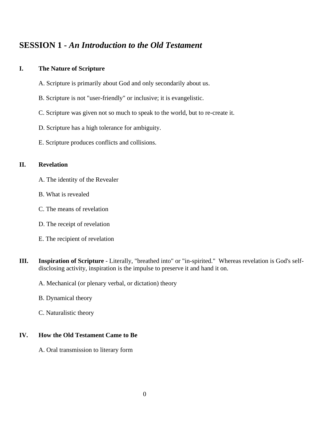### **SESSION 1 -** *An Introduction to the Old Testament*

### **I. The Nature of Scripture**

- A. Scripture is primarily about God and only secondarily about us.
- B. Scripture is not "user-friendly" or inclusive; it is evangelistic.
- C. Scripture was given not so much to speak to the world, but to re-create it.
- D. Scripture has a high tolerance for ambiguity.
- E. Scripture produces conflicts and collisions.

### **II. Revelation**

- A. The identity of the Revealer
- B. What is revealed
- C. The means of revelation
- D. The receipt of revelation
- E. The recipient of revelation
- **III. Inspiration of Scripture** Literally, "breathed into" or "in-spirited." Whereas revelation is God's selfdisclosing activity, inspiration is the impulse to preserve it and hand it on.
	- A. Mechanical (or plenary verbal, or dictation) theory
	- B. Dynamical theory
	- C. Naturalistic theory

### **IV. How the Old Testament Came to Be**

A. Oral transmission to literary form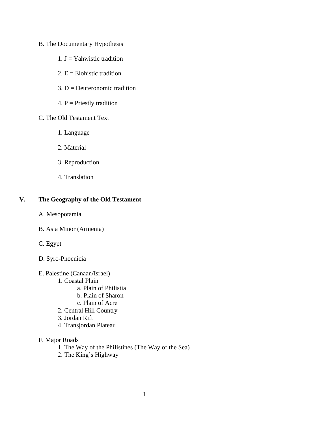### B. The Documentary Hypothesis

- 1.  $J =$  Yahwistic tradition
- 2.  $E =$  Elohistic tradition
- $3. D = Deuteronomic tradition$
- 4.  $P =$  Priestly tradition

### C. The Old Testament Text

- 1. Language
- 2. Material
- 3. Reproduction
- 4. Translation

### **V. The Geography of the Old Testament**

- A. Mesopotamia
- B. Asia Minor (Armenia)
- C. Egypt
- D. Syro-Phoenicia
- E. Palestine (Canaan/Israel)
	- 1. Coastal Plain
		- a. Plain of Philistia
		- b. Plain of Sharon
		- c. Plain of Acre
	- 2. Central Hill Country
	- 3. Jordan Rift
	- 4. Transjordan Plateau
- F. Major Roads
	- 1. The Way of the Philistines (The Way of the Sea)
	- 2. The King's Highway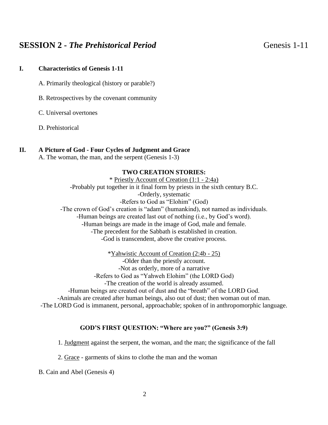### **SESSION 2 -** *The Prehistorical Period* Genesis 1-11

### **I. Characteristics of Genesis 1-11**

- A. Primarily theological (history or parable?)
- B. Retrospectives by the covenant community
- C. Universal overtones
- D. Prehistorical

### **II. A Picture of God - Four Cycles of Judgment and Grace**

A. The woman, the man, and the serpent (Genesis 1-3)

### **TWO CREATION STORIES:**

\* Priestly Account of Creation (1:1 - 2:4a) -Probably put together in it final form by priests in the sixth century B.C. -Orderly, systematic -Refers to God as "Elohim" (God) -The crown of God's creation is "adam" (humankind), not named as individuals. -Human beings are created last out of nothing (i.e., by God's word). -Human beings are made in the image of God, male and female. -The precedent for the Sabbath is established in creation. -God is transcendent, above the creative process.

\*Yahwistic Account of Creation (2:4b - 25) -Older than the priestly account. -Not as orderly, more of a narrative -Refers to God as "Yahweh Elohim" (the LORD God) -The creation of the world is already assumed. -Human beings are created out of dust and the "breath" of the LORD God. -Animals are created after human beings, also out of dust; then woman out of man. -The LORD God is immanent, personal, approachable; spoken of in anthropomorphic language.

### **GOD'S FIRST QUESTION: "Where are you?" (Genesis 3:9)**

- 1. Judgment against the serpent, the woman, and the man; the significance of the fall
- 2. Grace garments of skins to clothe the man and the woman
- B. Cain and Abel (Genesis 4)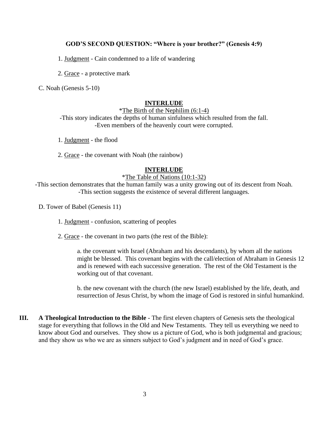### **GOD'S SECOND QUESTION: "Where is your brother?" (Genesis 4:9)**

- 1. Judgment Cain condemned to a life of wandering
- 2. Grace a protective mark

C. Noah (Genesis 5-10)

### **INTERLUDE**

#### \*The Birth of the Nephilim (6:1-4)

-This story indicates the depths of human sinfulness which resulted from the fall. -Even members of the heavenly court were corrupted.

- 1. Judgment the flood
- 2. Grace the covenant with Noah (the rainbow)

### **INTERLUDE**

### \*The Table of Nations (10:1-32)

-This section demonstrates that the human family was a unity growing out of its descent from Noah. -This section suggests the existence of several different languages.

- D. Tower of Babel (Genesis 11)
	- 1. Judgment confusion, scattering of peoples
	- 2. Grace the covenant in two parts (the rest of the Bible):

a. the covenant with Israel (Abraham and his descendants), by whom all the nations might be blessed. This covenant begins with the call/election of Abraham in Genesis 12 and is renewed with each successive generation. The rest of the Old Testament is the working out of that covenant.

b. the new covenant with the church (the new Israel) established by the life, death, and resurrection of Jesus Christ, by whom the image of God is restored in sinful humankind.

**III. A Theological Introduction to the Bible** - The first eleven chapters of Genesis sets the theological stage for everything that follows in the Old and New Testaments. They tell us everything we need to know about God and ourselves. They show us a picture of God, who is both judgmental and gracious; and they show us who we are as sinners subject to God's judgment and in need of God's grace.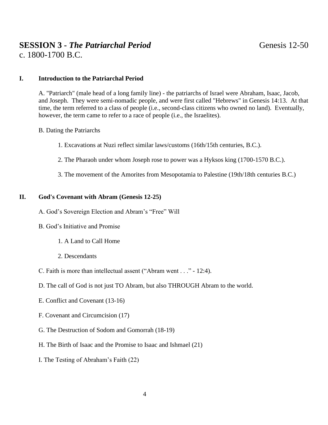### **SESSION 3 -** *The Patriarchal Period* Genesis 12-50 c. 1800-1700 B.C.

### **I. Introduction to the Patriarchal Period**

A. "Patriarch" (male head of a long family line) - the patriarchs of Israel were Abraham, Isaac, Jacob, and Joseph. They were semi-nomadic people, and were first called "Hebrews" in Genesis 14:13. At that time, the term referred to a class of people (i.e., second-class citizens who owned no land). Eventually, however, the term came to refer to a race of people (i.e., the Israelites).

- B. Dating the Patriarchs
	- 1. Excavations at Nuzi reflect similar laws/customs (16th/15th centuries, B.C.).
	- 2. The Pharaoh under whom Joseph rose to power was a Hyksos king (1700-1570 B.C.).
	- 3. The movement of the Amorites from Mesopotamia to Palestine (19th/18th centuries B.C.)

### **II. God's Covenant with Abram (Genesis 12-25)**

- A. God's Sovereign Election and Abram's "Free" Will
- B. God's Initiative and Promise
	- 1. A Land to Call Home
	- 2. Descendants
- C. Faith is more than intellectual assent ("Abram went . . ." 12:4).
- D. The call of God is not just TO Abram, but also THROUGH Abram to the world.
- E. Conflict and Covenant (13-16)
- F. Covenant and Circumcision (17)
- G. The Destruction of Sodom and Gomorrah (18-19)
- H. The Birth of Isaac and the Promise to Isaac and Ishmael (21)
- I. The Testing of Abraham's Faith (22)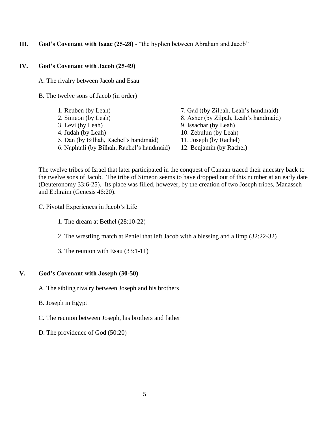### **III.** God's Covenant with Isaac (25-28) - "the hyphen between Abraham and Jacob"

### **IV. God's Covenant with Jacob (25-49)**

A. The rivalry between Jacob and Esau

- B. The twelve sons of Jacob (in order)
	- 1. Reuben (by Leah) 2. Simeon (by Leah) 3. Levi (by Leah) 4. Judah (by Leah) 5. Dan (by Bilhah, Rachel's handmaid) 6. Naphtali (by Bilhah, Rachel's handmaid)

7. Gad ((by Zilpah, Leah's handmaid) 8. Asher (by Zilpah, Leah's handmaid) 9. Issachar (by Leah) 10. Zebulun (by Leah) 11. Joseph (by Rachel) 12. Benjamin (by Rachel)

The twelve tribes of Israel that later participated in the conquest of Canaan traced their ancestry back to the twelve sons of Jacob. The tribe of Simeon seems to have dropped out of this number at an early date (Deuteronomy 33:6-25). Its place was filled, however, by the creation of two Joseph tribes, Manasseh and Ephraim (Genesis 46:20).

- C. Pivotal Experiences in Jacob's Life
	- 1. The dream at Bethel (28:10-22)
	- 2. The wrestling match at Peniel that left Jacob with a blessing and a limp (32:22-32)
	- 3. The reunion with Esau (33:1-11)

#### **V. God's Covenant with Joseph (30-50)**

- A. The sibling rivalry between Joseph and his brothers
- B. Joseph in Egypt
- C. The reunion between Joseph, his brothers and father
- D. The providence of God (50:20)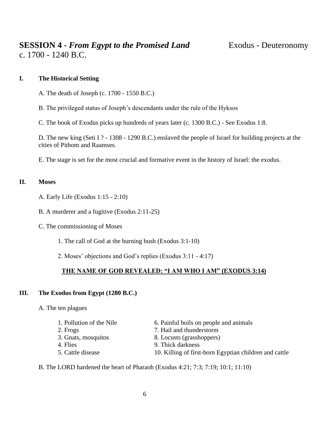### **I. The Historical Setting**

A. The death of Joseph (c. 1700 - 1550 B.C.)

B. The privileged status of Joseph's descendants under the rule of the Hyksos

C. The book of Exodus picks up hundreds of years later (c. 1300 B.C.) - See Exodus 1:8.

D. The new king (Seti I ? - 1308 - 1290 B.C.) enslaved the people of Israel for building projects at the cities of Pithom and Raamses.

E. The stage is set for the most crucial and formative event in the history of Israel: the exodus.

### **II. Moses**

A. Early Life (Exodus 1:15 - 2:10)

B. A murderer and a fugitive (Exodus 2:11-25)

C. The commissioning of Moses

1. The call of God at the burning bush (Exodus 3:1-10)

2. Moses' objections and God's replies (Exodus 3:11 - 4:17)

### **THE NAME OF GOD REVEALED: "I AM WHO I AM" (EXODUS 3:14)**

### **III. The Exodus from Egypt (1280 B.C.)**

A. The ten plagues

| 1. Pollution of the Nile | 6. Painful boils on people and animals                 |
|--------------------------|--------------------------------------------------------|
| 2. Frogs                 | 7. Hail and thunderstorm                               |
| 3. Gnats, mosquitos      | 8. Locusts (grasshoppers)                              |
| 4. Flies                 | 9. Thick darkness                                      |
| 5. Cattle disease        | 10. Killing of first-born Egyptian children and cattle |

B. The LORD hardened the heart of Pharaoh (Exodus 4:21; 7:3; 7:19; 10:1; 11:10)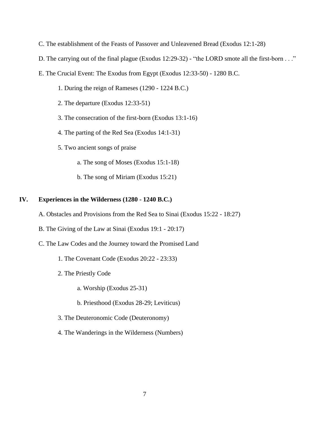- C. The establishment of the Feasts of Passover and Unleavened Bread (Exodus 12:1-28)
- D. The carrying out of the final plague (Exodus 12:29-32) "the LORD smote all the first-born . . ."
- E. The Crucial Event: The Exodus from Egypt (Exodus 12:33-50) 1280 B.C.
	- 1. During the reign of Rameses (1290 1224 B.C.)
	- 2. The departure (Exodus 12:33-51)
	- 3. The consecration of the first-born (Exodus 13:1-16)
	- 4. The parting of the Red Sea (Exodus 14:1-31)
	- 5. Two ancient songs of praise
		- a. The song of Moses (Exodus 15:1-18)
		- b. The song of Miriam (Exodus 15:21)

### **IV. Experiences in the Wilderness (1280 - 1240 B.C.)**

- A. Obstacles and Provisions from the Red Sea to Sinai (Exodus 15:22 18:27)
- B. The Giving of the Law at Sinai (Exodus 19:1 20:17)
- C. The Law Codes and the Journey toward the Promised Land
	- 1. The Covenant Code (Exodus 20:22 23:33)
	- 2. The Priestly Code
		- a. Worship (Exodus 25-31)
		- b. Priesthood (Exodus 28-29; Leviticus)
	- 3. The Deuteronomic Code (Deuteronomy)
	- 4. The Wanderings in the Wilderness (Numbers)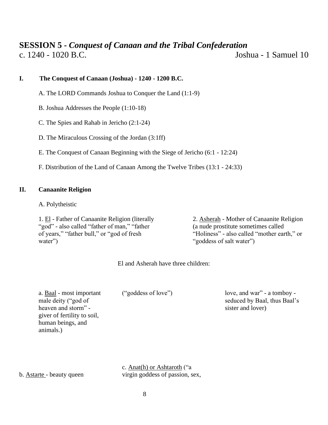### **SESSION 5 -** *Conquest of Canaan and the Tribal Confederation* c. 1240 - 1020 B.C. Joshua - 1 Samuel 10

**I. The Conquest of Canaan (Joshua) - 1240 - 1200 B.C.**

A. The LORD Commands Joshua to Conquer the Land (1:1-9)

B. Joshua Addresses the People (1:10-18)

C. The Spies and Rahab in Jericho (2:1-24)

D. The Miraculous Crossing of the Jordan (3:1ff)

E. The Conquest of Canaan Beginning with the Siege of Jericho (6:1 - 12:24)

F. Distribution of the Land of Canaan Among the Twelve Tribes (13:1 - 24:33)

### **II. Canaanite Religion**

A. Polytheistic

1. El - Father of Canaanite Religion (literally "god" - also called "father of man," "father of years," "father bull," or "god of fresh water")

2. Asherah - Mother of Canaanite Religion (a nude prostitute sometimes called "Holiness" - also called "mother earth," or "goddess of salt water")

El and Asherah have three children:

a. Baal - most important male deity ("god of heaven and storm" giver of fertility to soil, human beings, and animals.)

("goddess of love")

love, and war" - a tomboy seduced by Baal, thus Baal's sister and lover)

c. Anat(h) or Ashtaroth ("a virgin goddess of passion, sex,

b. Astarte - beauty queen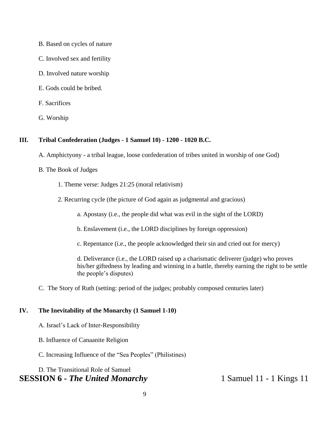- B. Based on cycles of nature
- C. Involved sex and fertility
- D. Involved nature worship
- E. Gods could be bribed.
- F. Sacrifices
- G. Worship

### **III. Tribal Confederation (Judges - 1 Samuel 10) - 1200 - 1020 B.C.**

- A. Amphictyony a tribal league, loose confederation of tribes united in worship of one God)
- B. The Book of Judges
	- 1. Theme verse: Judges 21:25 (moral relativism)
	- 2. Recurring cycle (the picture of God again as judgmental and gracious)
		- a. Apostasy (i.e., the people did what was evil in the sight of the LORD)
		- b. Enslavement (i.e., the LORD disciplines by foreign oppression)
		- c. Repentance (i.e., the people acknowledged their sin and cried out for mercy)

d. Deliverance (i.e., the LORD raised up a charismatic deliverer (judge) who proves his/her giftedness by leading and winning in a battle, thereby earning the right to be settle the people's disputes)

C. The Story of Ruth (setting: period of the judges; probably composed centuries later)

### **IV. The Inevitability of the Monarchy (1 Samuel 1-10)**

- A. Israel's Lack of Inter-Responsibility
- B. Influence of Canaanite Religion
- C. Increasing Influence of the "Sea Peoples" (Philistines)

### D. The Transitional Role of Samuel **SESSION 6 -** *The United Monarchy* 1 Samuel 11 - 1 Kings 11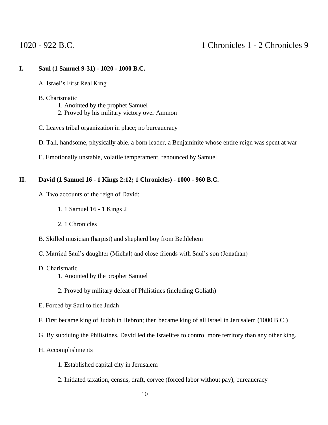### **I. Saul (1 Samuel 9-31) - 1020 - 1000 B.C.**

- A. Israel's First Real King
- B. Charismatic
	- 1. Anointed by the prophet Samuel
	- 2. Proved by his military victory over Ammon
- C. Leaves tribal organization in place; no bureaucracy
- D. Tall, handsome, physically able, a born leader, a Benjaminite whose entire reign was spent at war
- E. Emotionally unstable, volatile temperament, renounced by Samuel

### **II. David (1 Samuel 16 - 1 Kings 2:12; 1 Chronicles) - 1000 - 960 B.C.**

- A. Two accounts of the reign of David:
	- 1. 1 Samuel 16 1 Kings 2
	- 2. 1 Chronicles
- B. Skilled musician (harpist) and shepherd boy from Bethlehem
- C. Married Saul's daughter (Michal) and close friends with Saul's son (Jonathan)
- D. Charismatic
	- 1. Anointed by the prophet Samuel

### 2. Proved by military defeat of Philistines (including Goliath)

- E. Forced by Saul to flee Judah
- F. First became king of Judah in Hebron; then became king of all Israel in Jerusalem (1000 B.C.)
- G. By subduing the Philistines, David led the Israelites to control more territory than any other king.
- H. Accomplishments
	- 1. Established capital city in Jerusalem
	- 2. Initiated taxation, census, draft, corvee (forced labor without pay), bureaucracy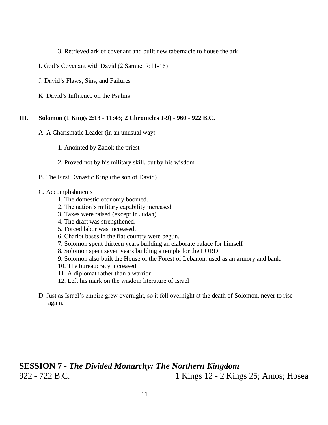- 3. Retrieved ark of covenant and built new tabernacle to house the ark
- I. God's Covenant with David (2 Samuel 7:11-16)
- J. David's Flaws, Sins, and Failures
- K. David's Influence on the Psalms

### **III. Solomon (1 Kings 2:13 - 11:43; 2 Chronicles 1-9) - 960 - 922 B.C.**

- A. A Charismatic Leader (in an unusual way)
	- 1. Anointed by Zadok the priest
	- 2. Proved not by his military skill, but by his wisdom
- B. The First Dynastic King (the son of David)

#### C. Accomplishments

- 1. The domestic economy boomed.
- 2. The nation's military capability increased.
- 3. Taxes were raised (except in Judah).
- 4. The draft was strengthened.
- 5. Forced labor was increased.
- 6. Chariot bases in the flat country were begun.
- 7. Solomon spent thirteen years building an elaborate palace for himself
- 8. Solomon spent seven years building a temple for the LORD.
- 9. Solomon also built the House of the Forest of Lebanon, used as an armory and bank.
- 10. The bureaucracy increased.
- 11. A diplomat rather than a warrior
- 12. Left his mark on the wisdom literature of Israel
- D. Just as Israel's empire grew overnight, so it fell overnight at the death of Solomon, never to rise again.

## **SESSION 7 -** *The Divided Monarchy: The Northern Kingdom* 922 - 722 B.C. 1 Kings 12 - 2 Kings 25; Amos; Hosea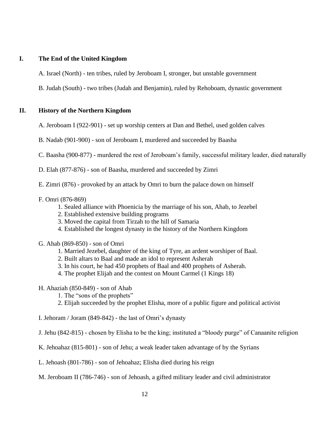### **I. The End of the United Kingdom**

- A. Israel (North) ten tribes, ruled by Jeroboam I, stronger, but unstable government
- B. Judah (South) two tribes (Judah and Benjamin), ruled by Rehoboam, dynastic government

### **II. History of the Northern Kingdom**

- A. Jeroboam I (922-901) set up worship centers at Dan and Bethel, used golden calves
- B. Nadab (901-900) son of Jeroboam I, murdered and succeeded by Baasha
- C. Baasha (900-877) murdered the rest of Jeroboam's family, successful military leader, died naturally
- D. Elah (877-876) son of Baasha, murdered and succeeded by Zimri
- E. Zimri (876) provoked by an attack by Omri to burn the palace down on himself
- F. Omri (876-869)
	- 1. Sealed alliance with Phoenicia by the marriage of his son, Ahab, to Jezebel
	- 2. Established extensive building programs
	- 3. Moved the capital from Tirzah to the hill of Samaria
	- 4. Established the longest dynasty in the history of the Northern Kingdom
- G. Ahab (869-850) son of Omri
	- 1. Married Jezebel, daughter of the king of Tyre, an ardent worshiper of Baal.
	- 2. Built altars to Baal and made an idol to represent Asherah
	- 3. In his court, he had 450 prophets of Baal and 400 prophets of Asherah.
	- 4. The prophet Elijah and the contest on Mount Carmel (1 Kings 18)
- H. Ahaziah (850-849) son of Ahab
	- 1. The "sons of the prophets"
	- 2. Elijah succeeded by the prophet Elisha, more of a public figure and political activist
- I. Jehoram / Joram (849-842) the last of Omri's dynasty
- J. Jehu (842-815) chosen by Elisha to be the king; instituted a "bloody purge" of Canaanite religion
- K. Jehoahaz (815-801) son of Jehu; a weak leader taken advantage of by the Syrians
- L. Jehoash (801-786) son of Jehoahaz; Elisha died during his reign
- M. Jeroboam II (786-746) son of Jehoash, a gifted military leader and civil administrator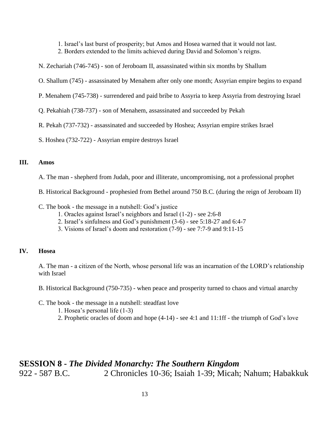- 1. Israel's last burst of prosperity; but Amos and Hosea warned that it would not last.
- 2. Borders extended to the limits achieved during David and Solomon's reigns.
- N. Zechariah (746-745) son of Jeroboam II, assassinated within six months by Shallum
- O. Shallum (745) assassinated by Menahem after only one month; Assyrian empire begins to expand
- P. Menahem (745-738) surrendered and paid bribe to Assyria to keep Assyria from destroying Israel
- Q. Pekahiah (738-737) son of Menahem, assassinated and succeeded by Pekah
- R. Pekah (737-732) assassinated and succeeded by Hoshea; Assyrian empire strikes Israel
- S. Hoshea (732-722) Assyrian empire destroys Israel

### **III. Amos**

- A. The man shepherd from Judah, poor and illiterate, uncompromising, not a professional prophet
- B. Historical Background prophesied from Bethel around 750 B.C. (during the reign of Jeroboam II)
- C. The book the message in a nutshell: God's justice
	- 1. Oracles against Israel's neighbors and Israel (1-2) see 2:6-8
	- 2. Israel's sinfulness and God's punishment (3-6) see 5:18-27 and 6:4-7
	- 3. Visions of Israel's doom and restoration (7-9) see 7:7-9 and 9:11-15

### **IV. Hosea**

A. The man - a citizen of the North, whose personal life was an incarnation of the LORD's relationship with Israel

- B. Historical Background (750-735) when peace and prosperity turned to chaos and virtual anarchy
- C. The book the message in a nutshell: steadfast love
	- 1. Hosea's personal life (1-3)
	- 2. Prophetic oracles of doom and hope (4-14) see 4:1 and 11:1ff the triumph of God's love

### **SESSION 8 -** *The Divided Monarchy: The Southern Kingdom* 922 - 587 B.C. 2 Chronicles 10-36; Isaiah 1-39; Micah; Nahum; Habakkuk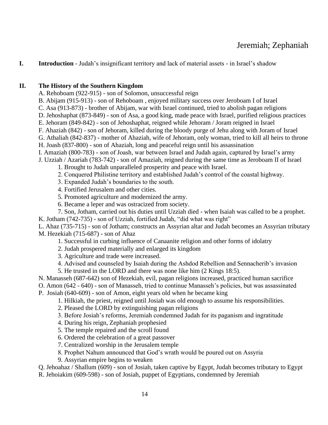## Jeremiah; Zephaniah

### **I. Introduction** - Judah's insignificant territory and lack of material assets - in Israel's shadow

### **II. The History of the Southern Kingdom**

- A. Rehoboam (922-915) son of Solomon, unsuccessful reign
- B. Abijam (915-913) son of Rehoboam , enjoyed military success over Jeroboam I of Israel
- C. Asa (913-873) brother of Abijam, war with Israel continued, tried to abolish pagan religions
- D. Jehoshaphat (873-849) son of Asa, a good king, made peace with Israel, purified religious practices
- E. Jehoram (849-842) son of Jehoshaphat, reigned while Jehoram / Joram reigned in Israel
- F. Ahaziah (842) son of Jehoram, killed during the bloody purge of Jehu along with Joram of Israel
- G. Athaliah (842-837) mother of Ahaziah, wife of Jehoram, only woman, tried to kill all heirs to throne
- H. Joash (837-800) son of Ahaziah, long and peaceful reign until his assassination
- I. Amaziah (800-783) son of Joash, war between Israel and Judah again, captured by Israel's army
- J. Uzziah / Azariah (783-742) son of Amaziah, reigned during the same time as Jeroboam II of Israel
	- 1. Brought to Judah unparalleled prosperity and peace with Israel.
	- 2. Conquered Philistine territory and established Judah's control of the coastal highway.
	- 3. Expanded Judah's boundaries to the south.
	- 4. Fortified Jerusalem and other cities.
	- 5. Promoted agriculture and modernized the army.
	- 6. Became a leper and was ostracized from society.

7. Son, Jotham, carried out his duties until Uzziah died - when Isaiah was called to be a prophet.

K. Jotham (742-735) - son of Uzziah, fortified Judah, "did what was right"

L. Ahaz (735-715) - son of Jotham; constructs an Assyrian altar and Judah becomes an Assyrian tributary M. Hezekiah (715-687) - son of Ahaz

- 1. Successful in curbing influence of Canaanite religion and other forms of idolatry
- 2. Judah prospered materially and enlarged its kingdom
- 3. Agriculture and trade were increased.
- 4. Advised and counseled by Isaiah during the Ashdod Rebellion and Sennacherib's invasion
- 5. He trusted in the LORD and there was none like him (2 Kings 18:5).

N. Manasseh (687-642) son of Hezekiah, evil, pagan religions increased, practiced human sacrifice

- O. Amon (642 640) son of Manasseh, tried to continue Manasseh's policies, but was assassinated
- P. Josiah (640-609) son of Amon, eight years old when he became king
	- 1. Hilkiah, the priest, reigned until Josiah was old enough to assume his responsibilities.
	- 2. Pleased the LORD by extinguishing pagan religions
	- 3. Before Josiah's reforms, Jeremiah condemned Judah for its paganism and ingratitude
	- 4. During his reign, Zephaniah prophesied
	- 5. The temple repaired and the scroll found
	- 6. Ordered the celebration of a great passover
	- 7. Centralized worship in the Jerusalem temple
	- 8. Prophet Nahum announced that God's wrath would be poured out on Assyria
	- 9. Assyrian empire begins to weaken

Q. Jehoahaz / Shallum (609) - son of Josiah, taken captive by Egypt, Judah becomes tributary to Egypt

R. Jehoiakim (609-598) - son of Josiah, puppet of Egyptians, condemned by Jeremiah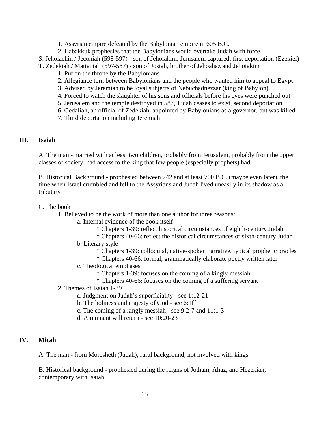- 1. Assyrian empire defeated by the Babylonian empire in 605 B.C.
- 2. Habakkuk prophesies that the Babylonians would overtake Judah with force
- S. Jehoiachin / Jeconiah (598-597) son of Jehoiakim, Jerusalem captured, first deportation (Ezekiel)
- T. Zedekiah / Mattaniah (597-587) son of Josiah, brother of Jehoahaz and Jehoiakim
	- 1. Put on the throne by the Babylonians
	- 2. Allegiance torn between Babylonians and the people who wanted him to appeal to Egypt
	- 3. Advised by Jeremiah to be loyal subjects of Nebuchadnezzar (king of Babylon)
	- 4. Forced to watch the slaughter of his sons and officials before his eyes were punched out
	- 5. Jerusalem and the temple destroyed in 587, Judah ceases to exist, second deportation
	- 6. Gedaliah, an official of Zedekiah, appointed by Babylonians as a governor, but was killed
	- 7. Third deportation including Jeremiah

### **III. Isaiah**

A. The man - married with at least two children, probably from Jerusalem, probably from the upper classes of society, had access to the king that few people (especially prophets) had

B. Historical Background - prophesied between 742 and at least 700 B.C. (maybe even later), the time when Israel crumbled and fell to the Assyrians and Judah lived uneasily in its shadow as a tributary

### C. The book

1. Believed to be the work of more than one author for three reasons:

- a. Internal evidence of the book itself
	- \* Chapters 1-39: reflect historical circumstances of eighth-century Judah
	- \* Chapters 40-66: reflect the historical circumstances of sixth-century Judah
- b. Literary style
	- \* Chapters 1-39: colloquial, native-spoken narrative, typical prophetic oracles
	- \* Chapters 40-66: formal, grammatically elaborate poetry written later
- c. Theological emphases
	- \* Chapters 1-39: focuses on the coming of a kingly messiah
	- \* Chapters 40-66: focuses on the coming of a suffering servant
- 2. Themes of Isaiah 1-39
	- a. Judgment on Judah's superficiality see 1:12-21
	- b. The holiness and majesty of God see 6:1ff
	- c. The coming of a kingly messiah see 9:2-7 and 11:1-3
	- d. A remnant will return see 10:20-23

### **IV. Micah**

A. The man - from Moresheth (Judah), rural background, not involved with kings

B. Historical background - prophesied during the reigns of Jotham, Ahaz, and Hezekiah, contemporary with Isaiah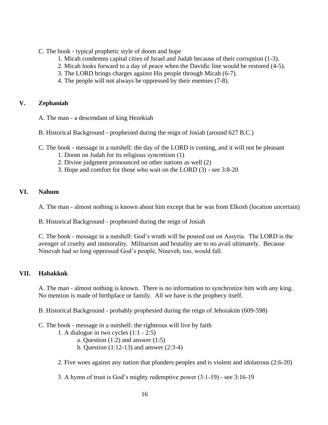- C. The book typical prophetic style of doom and hope
	- 1. Micah condemns capital cities of Israel and Judah because of their corruption (1-3).
	- 2. Micah looks forward to a day of peace when the Davidic line would be restored (4-5).
	- 3. The LORD brings charges against His people through Micah (6-7).
	- 4. The people will not always be oppressed by their enemies (7-8).

### **V. Zephaniah**

A. The man - a descendant of king Hezekiah

- B. Historical Background prophesied during the reign of Josiah (around 627 B.C.)
- C. The book message in a nutshell: the day of the LORD is coming, and it will not be pleasant
	- 1. Doom on Judah for its religious syncretism (1)
	- 2. Divine judgment pronounced on other nations as well (2)
	- 3. Hope and comfort for those who wait on the LORD (3) see 3:8-20

### **VI. Nahum**

- A. The man almost nothing is known about him except that he was from Elkosh (location uncertain)
- B. Historical Background prophesied during the reign of Josiah

C. The book - message in a nutshell: God's wrath will be poured out on Assyria. The LORD is the avenger of cruelty and immorality. Militarism and brutality are to no avail ultimately. Because Ninevah had so long oppressed God's people, Nineveh, too, would fall.

### **VII. Habakkuk**

A. The man - almost nothing is known. There is no information to synchronize him with any king. No mention is made of birthplace or family. All we have is the prophecy itself.

B. Historical Background - probably prophesied during the reign of Jehoiakim (609-598)

- C. The book message in a nutshell: the righteous will live by faith
	- 1. A dialogue in two cycles (1:1 2:5)
		- a. Question  $(1:2)$  and answer  $(1:5)$
		- b. Question (1:12-13) and answer (2:3-4)
	- 2. Five woes against any nation that plunders peoples and is violent and idolatrous (2:6-20)

3. A hymn of trust is God's mighty redemptive power (3:1-19) - see 3:16-19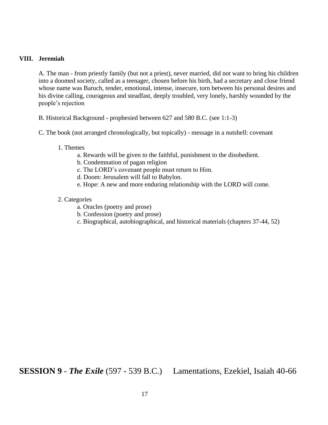### **VIII. Jeremiah**

A. The man - from priestly family (but not a priest), never married, did not want to bring his children into a doomed society, called as a teenager, chosen before his birth, had a secretary and close friend whose name was Baruch, tender, emotional, intense, insecure, torn between his personal desires and his divine calling, courageous and steadfast, deeply troubled, very lonely, harshly wounded by the people's rejection

B. Historical Background - prophesied between 627 and 580 B.C. (see 1:1-3)

- C. The book (not arranged chronologically, but topically) message in a nutshell: covenant
	- 1. Themes
		- a. Rewards will be given to the faithful, punishment to the disobedient.
		- b. Condemnation of pagan religion
		- c. The LORD's covenant people must return to Him.
		- d. Doom: Jerusalem will fall to Babylon.
		- e. Hope: A new and more enduring relationship with the LORD will come.

#### 2. Categories

- a. Oracles (poetry and prose)
- b. Confession (poetry and prose)
- c. Biographical, autobiographical, and historical materials (chapters 37-44, 52)

**SESSION 9** - *The Exile* (597 - 539 B.C.) Lamentations, Ezekiel, Isaiah 40-66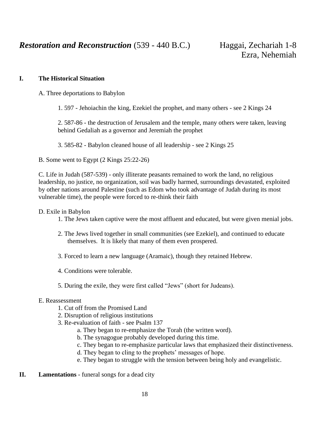*Restoration and Reconstruction* (539 - 440 B.C.) Haggai, Zechariah 1-8

### **I. The Historical Situation**

A. Three deportations to Babylon

1. 597 - Jehoiachin the king, Ezekiel the prophet, and many others - see 2 Kings 24

2. 587-86 - the destruction of Jerusalem and the temple, many others were taken, leaving behind Gedaliah as a governor and Jeremiah the prophet

3. 585-82 - Babylon cleaned house of all leadership - see 2 Kings 25

B. Some went to Egypt (2 Kings 25:22-26)

C. Life in Judah (587-539) - only illiterate peasants remained to work the land, no religious leadership, no justice, no organization, soil was badly harmed, surroundings devastated, exploited by other nations around Palestine (such as Edom who took advantage of Judah during its most vulnerable time), the people were forced to re-think their faith

D. Exile in Babylon

- 1. The Jews taken captive were the most affluent and educated, but were given menial jobs.
- 2. The Jews lived together in small communities (see Ezekiel), and continued to educate themselves. It is likely that many of them even prospered.
- 3. Forced to learn a new language (Aramaic), though they retained Hebrew.
- 4. Conditions were tolerable.
- 5. During the exile, they were first called "Jews" (short for Judeans).

#### E. Reassessment

- 1. Cut off from the Promised Land
- 2. Disruption of religious institutions
- 3. Re-evaluation of faith see Psalm 137
	- a. They began to re-emphasize the Torah (the written word).
	- b. The synagogue probably developed during this time.
	- c. They began to re-emphasize particular laws that emphasized their distinctiveness.
	- d. They began to cling to the prophets' messages of hope.
	- e. They began to struggle with the tension between being holy and evangelistic.
- **II. Lamentations**  funeral songs for a dead city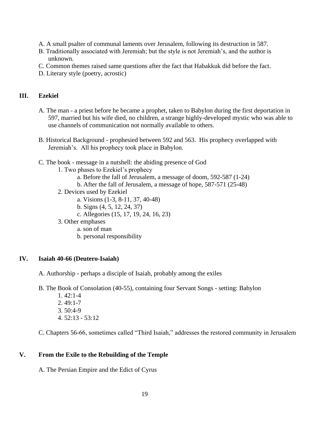- A. A small psalter of communal laments over Jerusalem, following its destruction in 587.
- B. Traditionally associated with Jeremiah; but the style is not Jeremiah's, and the author is unknown.
- C. Common themes raised same questions after the fact that Habakkuk did before the fact.
- D. Literary style (poetry, acrostic)

### **III. Ezekiel**

- A. The man a priest before he became a prophet, taken to Babylon during the first deportation in 597, married but his wife died, no children, a strange highly-developed mystic who was able to use channels of communication not normally available to others.
- B. Historical Background prophesied between 592 and 563. His prophecy overlapped with Jeremiah's. All his prophecy took place in Babylon.
- C. The book message in a nutshell: the abiding presence of God
	- 1. Two phases to Ezekiel's prophecy
		- a. Before the fall of Jerusalem, a message of doom, 592-587 (1-24)
		- b. After the fall of Jerusalem, a message of hope, 587-571 (25-48)
	- 2. Devices used by Ezekiel
		- a. Visions (1-3, 8-11, 37, 40-48)
		- b. Signs (4, 5, 12, 24, 37)
		- c. Allegories (15, 17, 19, 24, 16, 23)
	- 3. Other emphases
		- a. son of man
		- b. personal responsibility

#### **IV. Isaiah 40-66 (Deutero-Isaiah)**

A. Authorship - perhaps a disciple of Isaiah, probably among the exiles

B. The Book of Consolation (40-55), containing four Servant Songs - setting: Babylon

1. 42:1-4 2. 49:1-7 3. 50:4-9 4. 52:13 - 53:12

C. Chapters 56-66, sometimes called "Third Isaiah," addresses the restored community in Jerusalem

### **V. From the Exile to the Rebuilding of the Temple**

A. The Persian Empire and the Edict of Cyrus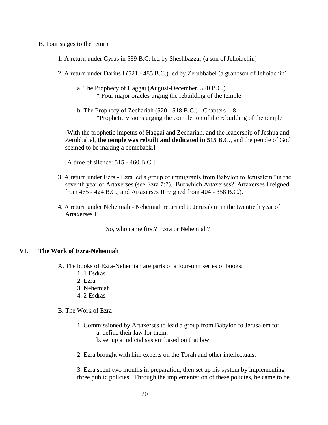#### B. Four stages to the return

- 1. A return under Cyrus in 539 B.C. led by Sheshbazzar (a son of Jehoiachin)
- 2. A return under Darius I (521 485 B.C.) led by Zerubbabel (a grandson of Jehoiachin)
	- a. The Prophecy of Haggai (August-December, 520 B.C.) \* Four major oracles urging the rebuilding of the temple
	- b. The Prophecy of Zechariah (520 518 B.C.) Chapters 1-8 \*Prophetic visions urging the completion of the rebuilding of the temple

[With the prophetic impetus of Haggai and Zechariah, and the leadership of Jeshua and Zerubbabel, **the temple was rebuilt and dedicated in 515 B.C.**, and the people of God seemed to be making a comeback.]

[A time of silence: 515 - 460 B.C.]

- 3. A return under Ezra Ezra led a group of immigrants from Babylon to Jerusalem "in the seventh year of Artaxerses (see Ezra 7:7). But which Artaxerses? Artaxerses I reigned from 465 - 424 B.C., and Artaxerses II reigned from 404 - 358 B.C.).
- 4. A return under Nehemiah Nehemiah returned to Jerusalem in the twentieth year of Artaxerses I.

So, who came first? Ezra or Nehemiah?

### **VI. The Work of Ezra-Nehemiah**

A. The books of Ezra-Nehemiah are parts of a four-unit series of books:

- 1. 1 Esdras
- 2. Ezra
- 3. Nehemiah
- 4. 2 Esdras
- B. The Work of Ezra
	- 1. Commissioned by Artaxerses to lead a group from Babylon to Jerusalem to:
		- a. define their law for them.
		- b. set up a judicial system based on that law.

2. Ezra brought with him experts on the Torah and other intellectuals.

3. Ezra spent two months in preparation, then set up his system by implementing three public policies. Through the implementation of these policies, he came to be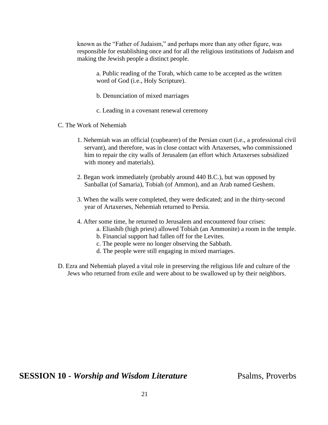known as the "Father of Judaism," and perhaps more than any other figure, was responsible for establishing once and for all the religious institutions of Judaism and making the Jewish people a distinct people.

a. Public reading of the Torah, which came to be accepted as the written word of God (i.e., Holy Scripture).

- b. Denunciation of mixed marriages
- c. Leading in a covenant renewal ceremony
- C. The Work of Nehemiah
	- 1. Nehemiah was an official (cupbearer) of the Persian court (i.e., a professional civil servant), and therefore, was in close contact with Artaxerses, who commissioned him to repair the city walls of Jerusalem (an effort which Artaxerses subsidized with money and materials).
	- 2. Began work immediately (probably around 440 B.C.), but was opposed by Sanballat (of Samaria), Tobiah (of Ammon), and an Arab named Geshem.
	- 3. When the walls were completed, they were dedicated; and in the thirty-second year of Artaxerses, Nehemiah returned to Persia.
	- 4. After some time, he returned to Jerusalem and encountered four crises:
		- a. Eliashib (high priest) allowed Tobiah (an Ammonite) a room in the temple.
		- b. Financial support had fallen off for the Levites.
		- c. The people were no longer observing the Sabbath.
		- d. The people were still engaging in mixed marriages.
- D. Ezra and Nehemiah played a vital role in preserving the religious life and culture of the Jews who returned from exile and were about to be swallowed up by their neighbors.

**SESSION 10 -** *Worship and Wisdom Literature* Psalms, Proverbs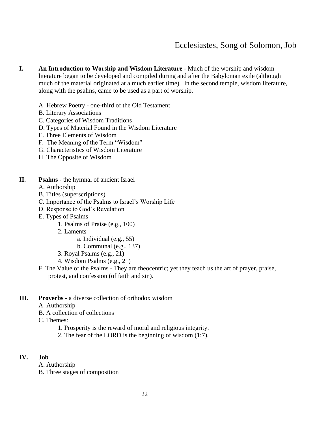## Ecclesiastes, Song of Solomon, Job

- **I. An Introduction to Worship and Wisdom Literature** Much of the worship and wisdom literature began to be developed and compiled during and after the Babylonian exile (although much of the material originated at a much earlier time). In the second temple, wisdom literature, along with the psalms, came to be used as a part of worship.
	- A. Hebrew Poetry one-third of the Old Testament
	- B. Literary Associations
	- C. Categories of Wisdom Traditions
	- D. Types of Material Found in the Wisdom Literature
	- E. Three Elements of Wisdom
	- F. The Meaning of the Term "Wisdom"
	- G. Characteristics of Wisdom Literature
	- H. The Opposite of Wisdom
- **II. Psalms**  the hymnal of ancient Israel
	- A. Authorship
	- B. Titles (superscriptions)
	- C. Importance of the Psalms to Israel's Worship Life
	- D. Response to God's Revelation
	- E. Types of Psalms
		- 1. Psalms of Praise (e.g., 100)
		- 2. Laments
			- a. Individual (e.g., 55)
			- b. Communal (e.g., 137)
		- 3. Royal Psalms (e.g., 21)
		- 4. Wisdom Psalms (e.g., 21)
	- F. The Value of the Psalms They are theocentric; yet they teach us the art of prayer, praise, protest, and confession (of faith and sin).
- **III. Proverbs -** a diverse collection of orthodox wisdom
	- A. Authorship
	- B. A collection of collections
	- C. Themes:
		- 1. Prosperity is the reward of moral and religious integrity.
		- 2. The fear of the LORD is the beginning of wisdom (1:7).

#### **IV. Job**

- A. Authorship
- B. Three stages of composition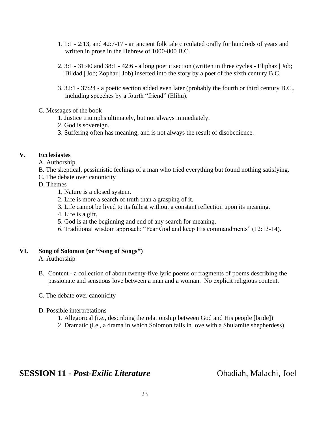- 1. 1:1 2:13, and 42:7-17 an ancient folk tale circulated orally for hundreds of years and written in prose in the Hebrew of 1000-800 B.C.
- 2. 3:1 31:40 and 38:1 42:6 a long poetic section (written in three cycles Eliphaz | Job; Bildad | Job; Zophar | Job) inserted into the story by a poet of the sixth century B.C.
- 3. 32:1 37:24 a poetic section added even later (probably the fourth or third century B.C., including speeches by a fourth "friend" (Elihu).

### C. Messages of the book

- 1. Justice triumphs ultimately, but not always immediately.
- 2. God is sovereign.
- 3. Suffering often has meaning, and is not always the result of disobedience.

### **V. Ecclesiastes**

- A. Authorship
- B. The skeptical, pessimistic feelings of a man who tried everything but found nothing satisfying.
- C. The debate over canonicity
- D. Themes
	- 1. Nature is a closed system.
	- 2. Life is more a search of truth than a grasping of it.
	- 3. Life cannot be lived to its fullest without a constant reflection upon its meaning.
	- 4. Life is a gift.
	- 5. God is at the beginning and end of any search for meaning.
	- 6. Traditional wisdom approach: "Fear God and keep His commandments" (12:13-14).

### **VI. Song of Solomon (or "Song of Songs")**

A. Authorship

- B. Content a collection of about twenty-five lyric poems or fragments of poems describing the passionate and sensuous love between a man and a woman. No explicit religious content.
- C. The debate over canonicity
- D. Possible interpretations
	- 1. Allegorical (i.e., describing the relationship between God and His people [bride])
	- 2. Dramatic (i.e., a drama in which Solomon falls in love with a Shulamite shepherdess)

### **SESSION 11 -** *Post-Exilic Literature* Obadiah, Malachi, Joel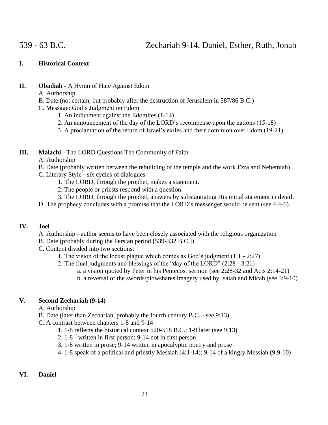### 539 - 63 B.C. Zechariah 9-14, Daniel, Esther, Ruth, Jonah

### **I. Historical Context**

- **II. Obadiah**  A Hymn of Hate Against Edom
	- A. Authorship
	- B. Date (not certain, but probably after the destruction of Jerusalem in 587/86 B.C.)
	- C. Message: God's Judgment on Edom
		- 1. An indictment against the Edomites (1-14)
		- 2. An announcement of the day of the LORD's recompense upon the nations (15-18)
		- 3. A proclamation of the return of Israel's exiles and their dominion over Edom (19-21)

### **III. Malachi** - The LORD Questions The Community of Faith

- A. Authorship
- B. Date (probably written between the rebuilding of the temple and the work Ezra and Nehemiah)
- C. Literary Style six cycles of dialogues
	- 1. The LORD, through the prophet, makes a statement.
	- 2. The people or priests respond with a question.
	- 3. The LORD, through the prophet, answers by substantiating His initial statement in detail.
- D. The prophecy concludes with a promise that the LORD's messenger would be sent (see 4:4-6).

### **IV. Joel**

- A. Authorship author seems to have been closely associated with the religious organization
- B. Date (probably during the Persian period [539-332 B.C.])
- C. Content divided into two sections:
	- 1. The vision of the locust plague which comes as God's judgment (1:1 2:27)
	- 2. The final judgments and blessings of the "day of the LORD" (2:28 3:21)
		- a. a vision quoted by Peter in his Pentecost sermon (see 2:28-32 and Acts 2:14-21)
		- b. a reversal of the swords/plowshares imagery used by Isaiah and Micah (see 3:9-10)

### **V. Second Zechariah (9-14)**

A. Authorship

- B. Date (later than Zechariah, probably the fourth century B.C. see 9:13)
- C. A contrast between chapters 1-8 and 9-14
	- 1. 1-8 reflects the historical context 520-518 B.C.; 1-9 later (see 9:13)
	- 2. 1-8 written in first person; 9-14 not in first person
	- 3. 1-8 written in prose; 9-14 written in apocalyptic poetry and prose
	- 4. 1-8 speak of a political and priestly Messiah (4:1-14); 9-14 of a kingly Messiah (9:9-10)

### **VI. Daniel**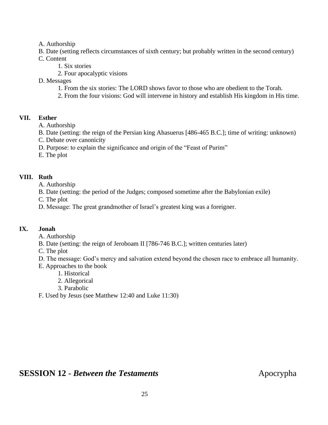A. Authorship

B. Date (setting reflects circumstances of sixth century; but probably written in the second century)

- C. Content
	- 1. Six stories
	- 2. Four apocalyptic visions
- D. Messages
	- 1. From the six stories: The LORD shows favor to those who are obedient to the Torah.
	- 2. From the four visions: God will intervene in history and establish His kingdom in His time.

### **VII. Esther**

A. Authorship

- B. Date (setting: the reign of the Persian king Ahasuerus [486-465 B.C.]; time of writing: unknown)
- C. Debate over canonicity
- D. Purpose: to explain the significance and origin of the "Feast of Purim"
- E. The plot

### **VIII. Ruth**

A. Authorship

- B. Date (setting: the period of the Judges; composed sometime after the Babylonian exile)
- C. The plot
- D. Message: The great grandmother of Israel's greatest king was a foreigner.

### **IX. Jonah**

- A. Authorship
- B. Date (setting: the reign of Jeroboam II [786-746 B.C.]; written centuries later)
- C. The plot
- D. The message: God's mercy and salvation extend beyond the chosen race to embrace all humanity.
- E. Approaches to the book
	- 1. Historical
	- 2. Allegorical
	- 3. Parabolic
- F. Used by Jesus (see Matthew 12:40 and Luke 11:30)

### **SESSION 12 -** *Between the Testaments* Apocrypha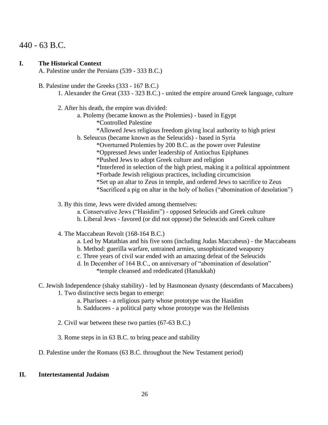### 440 - 63 B.C.

### **I. The Historical Context**

A. Palestine under the Persians (539 - 333 B.C.)

- B. Palestine under the Greeks (333 167 B.C.)
	- 1. Alexander the Great (333 323 B.C.) united the empire around Greek language, culture
	- 2. After his death, the empire was divided:
		- a. Ptolemy (became known as the Ptolemies) based in Egypt
			- \*Controlled Palestine
			- \*Allowed Jews religious freedom giving local authority to high priest
		- b. Seleucus (became known as the Seleucids) based in Syria
			- \*Overturned Ptolemies by 200 B.C. as the power over Palestine
			- \*Oppressed Jews under leadership of Antiochus Epiphanes

\*Pushed Jews to adopt Greek culture and religion

- \*Interfered in selection of the high priest, making it a political appointment
- \*Forbade Jewish religious practices, including circumcision
- \*Set up an altar to Zeus in temple, and ordered Jews to sacrifice to Zeus
- \*Sacrificed a pig on altar in the holy of holies ("abomination of desolation")
- 3. By this time, Jews were divided among themselves:
	- a. Conservative Jews ("Hasidim") opposed Seleucids and Greek culture
	- b. Liberal Jews favored (or did not oppose) the Seleucids and Greek culture
- 4. The Maccabean Revolt (168-164 B.C.)
	- a. Led by Matathias and his five sons (including Judas Maccabeus) the Maccabeans
	- b. Method: guerilla warfare, untrained armies, unsophisticated weaponry
	- c. Three years of civil war ended with an amazing defeat of the Seleucids
	- d. In December of 164 B.C., on anniversary of "abomination of desolation" \*temple cleansed and rededicated (Hanukkah)
- C. Jewish Independence (shaky stability) led by Hasmonean dynasty (descendants of Maccabees)
	- 1. Two distinctive sects began to emerge:
		- a. Pharisees a religious party whose prototype was the Hasidim
		- b. Sadducees a political party whose prototype was the Hellenists
	- 2. Civil war between these two parties (67-63 B.C.)
	- 3. Rome steps in in 63 B.C. to bring peace and stability
- D. Palestine under the Romans (63 B.C. throughout the New Testament period)

### **II. Intertestamental Judaism**